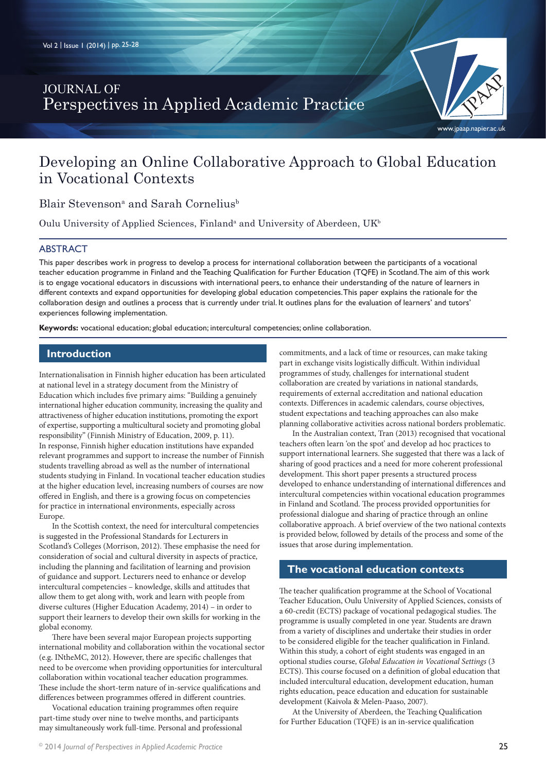## JOURNAL OF Perspectives in Applied Academic Practice

# Developing an Online Collaborative Approach to Global Education in Vocational Contexts

Blair Stevenson<sup>a</sup> and Sarah Cornelius<sup>b</sup>

Oulu University of Applied Sciences, Finland<sup>a</sup> and University of Aberdeen, UK<sup>b</sup>

#### ABSTRACT

This paper describes work in progress to develop a process for international collaboration between the participants of a vocational teacher education programme in Finland and the Teaching Qualification for Further Education (TQFE) in Scotland. The aim of this work is to engage vocational educators in discussions with international peers, to enhance their understanding of the nature of learners in different contexts and expand opportunities for developing global education competencies. This paper explains the rationale for the collaboration design and outlines a process that is currently under trial. It outlines plans for the evaluation of learners' and tutors' experiences following implementation.

**Keywords:** vocational education; global education; intercultural competencies; online collaboration.

#### **Introduction**

Internationalisation in Finnish higher education has been articulated at national level in a strategy document from the Ministry of Education which includes five primary aims: "Building a genuinely international higher education community, increasing the quality and attractiveness of higher education institutions, promoting the export of expertise, supporting a multicultural society and promoting global responsibility" (Finnish Ministry of Education, 2009, p. 11). In response, Finnish higher education institutions have expanded relevant programmes and support to increase the number of Finnish students travelling abroad as well as the number of international students studying in Finland. In vocational teacher education studies at the higher education level, increasing numbers of courses are now offered in English, and there is a growing focus on competencies for practice in international environments, especially across Europe.

In the Scottish context, the need for intercultural competencies is suggested in the Professional Standards for Lecturers in Scotland's Colleges (Morrison, 2012). These emphasise the need for consideration of social and cultural diversity in aspects of practice, including the planning and facilitation of learning and provision of guidance and support. Lecturers need to enhance or develop intercultural competencies – knowledge, skills and attitudes that allow them to get along with, work and learn with people from diverse cultures (Higher Education Academy, 2014) – in order to support their learners to develop their own skills for working in the global economy.

There have been several major European projects supporting international mobility and collaboration within the vocational sector (e.g. INtheMC, 2012). However, there are specific challenges that need to be overcome when providing opportunities for intercultural collaboration within vocational teacher education programmes. These include the short-term nature of in-service qualifications and differences between programmes offered in different countries.

Vocational education training programmes often require part-time study over nine to twelve months, and participants may simultaneously work full-time. Personal and professional

25 © 2014 *Journal of Perspectives in Applied Academic Practice*

commitments, and a lack of time or resources, can make taking part in exchange visits logistically difficult. Within individual programmes of study, challenges for international student collaboration are created by variations in national standards, requirements of external accreditation and national education contexts. Differences in academic calendars, course objectives, student expectations and teaching approaches can also make planning collaborative activities across national borders problematic.

In the Australian context, Tran (2013) recognised that vocational teachers often learn 'on the spot' and develop ad hoc practices to support international learners. She suggested that there was a lack of sharing of good practices and a need for more coherent professional development. This short paper presents a structured process developed to enhance understanding of international differences and intercultural competencies within vocational education programmes in Finland and Scotland. The process provided opportunities for professional dialogue and sharing of practice through an online collaborative approach. A brief overview of the two national contexts is provided below, followed by details of the process and some of the issues that arose during implementation.

#### **The vocational education contexts**

The teacher qualification programme at the School of Vocational Teacher Education, Oulu University of Applied Sciences, consists of a 60-credit (ECTS) package of vocational pedagogical studies. The programme is usually completed in one year. Students are drawn from a variety of disciplines and undertake their studies in order to be considered eligible for the teacher qualification in Finland. Within this study, a cohort of eight students was engaged in an optional studies course, *Global Education in Vocational Settings* (3 ECTS). This course focused on a definition of global education that included intercultural education, development education, human rights education, peace education and education for sustainable development (Kaivola & Melen-Paaso, 2007).

At the University of Aberdeen, the Teaching Qualification for Further Education (TQFE) is an in-service qualification

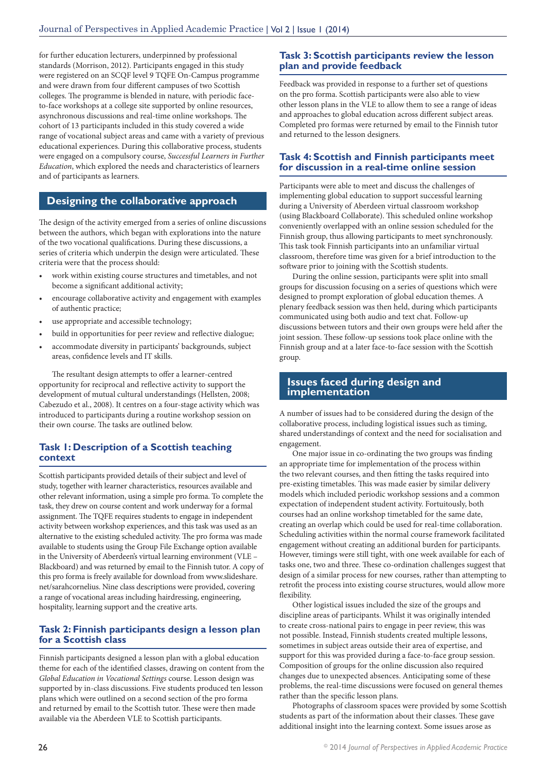for further education lecturers, underpinned by professional standards (Morrison, 2012). Participants engaged in this study were registered on an SCQF level 9 TQFE On-Campus programme and were drawn from four different campuses of two Scottish colleges. The programme is blended in nature, with periodic faceto-face workshops at a college site supported by online resources, asynchronous discussions and real-time online workshops. The cohort of 13 participants included in this study covered a wide range of vocational subject areas and came with a variety of previous educational experiences. During this collaborative process, students were engaged on a compulsory course, *Successful Learners in Further Education*, which explored the needs and characteristics of learners and of participants as learners.

### **Designing the collaborative approach**

The design of the activity emerged from a series of online discussions between the authors, which began with explorations into the nature of the two vocational qualifications. During these discussions, a series of criteria which underpin the design were articulated. These criteria were that the process should:

- work within existing course structures and timetables, and not become a significant additional activity;
- encourage collaborative activity and engagement with examples of authentic practice;
- use appropriate and accessible technology;
- build in opportunities for peer review and reflective dialogue;
- accommodate diversity in participants' backgrounds, subject areas, confidence levels and IT skills.

The resultant design attempts to offer a learner-centred opportunity for reciprocal and reflective activity to support the development of mutual cultural understandings (Hellsten, 2008; Cabezudo et al., 2008). It centres on a four-stage activity which was introduced to participants during a routine workshop session on their own course. The tasks are outlined below.

#### **Task 1: Description of a Scottish teaching context**

Scottish participants provided details of their subject and level of study, together with learner characteristics, resources available and other relevant information, using a simple pro forma. To complete the task, they drew on course content and work underway for a formal assignment. The TQFE requires students to engage in independent activity between workshop experiences, and this task was used as an alternative to the existing scheduled activity. The pro forma was made available to students using the Group File Exchange option available in the University of Aberdeen's virtual learning environment (VLE – Blackboard) and was returned by email to the Finnish tutor. A copy of this pro forma is freely available for download from www.slideshare. net/sarahcornelius. Nine class descriptions were provided, covering a range of vocational areas including hairdressing, engineering, hospitality, learning support and the creative arts.

#### **Task 2: Finnish participants design a lesson plan for a Scottish class**

Finnish participants designed a lesson plan with a global education theme for each of the identified classes, drawing on content from the *Global Education in Vocational Settings* course. Lesson design was supported by in-class discussions. Five students produced ten lesson plans which were outlined on a second section of the pro forma and returned by email to the Scottish tutor. These were then made available via the Aberdeen VLE to Scottish participants.

#### **Task 3: Scottish participants review the lesson plan and provide feedback**

Feedback was provided in response to a further set of questions on the pro forma. Scottish participants were also able to view other lesson plans in the VLE to allow them to see a range of ideas and approaches to global education across different subject areas. Completed pro formas were returned by email to the Finnish tutor and returned to the lesson designers.

#### **Task 4: Scottish and Finnish participants meet for discussion in a real-time online session**

Participants were able to meet and discuss the challenges of implementing global education to support successful learning during a University of Aberdeen virtual classroom workshop (using Blackboard Collaborate). This scheduled online workshop conveniently overlapped with an online session scheduled for the Finnish group, thus allowing participants to meet synchronously. This task took Finnish participants into an unfamiliar virtual classroom, therefore time was given for a brief introduction to the software prior to joining with the Scottish students.

During the online session, participants were split into small groups for discussion focusing on a series of questions which were designed to prompt exploration of global education themes. A plenary feedback session was then held, during which participants communicated using both audio and text chat. Follow-up discussions between tutors and their own groups were held after the joint session. These follow-up sessions took place online with the Finnish group and at a later face-to-face session with the Scottish group.

#### **Issues faced during design and implementation**

A number of issues had to be considered during the design of the collaborative process, including logistical issues such as timing, shared understandings of context and the need for socialisation and engagement.

One major issue in co-ordinating the two groups was finding an appropriate time for implementation of the process within the two relevant courses, and then fitting the tasks required into pre-existing timetables. This was made easier by similar delivery models which included periodic workshop sessions and a common expectation of independent student activity. Fortuitously, both courses had an online workshop timetabled for the same date, creating an overlap which could be used for real-time collaboration. Scheduling activities within the normal course framework facilitated engagement without creating an additional burden for participants. However, timings were still tight, with one week available for each of tasks one, two and three. These co-ordination challenges suggest that design of a similar process for new courses, rather than attempting to retrofit the process into existing course structures, would allow more flexibility.

Other logistical issues included the size of the groups and discipline areas of participants. Whilst it was originally intended to create cross-national pairs to engage in peer review, this was not possible. Instead, Finnish students created multiple lessons, sometimes in subject areas outside their area of expertise, and support for this was provided during a face-to-face group session. Composition of groups for the online discussion also required changes due to unexpected absences. Anticipating some of these problems, the real-time discussions were focused on general themes rather than the specific lesson plans.

Photographs of classroom spaces were provided by some Scottish students as part of the information about their classes. These gave additional insight into the learning context. Some issues arose as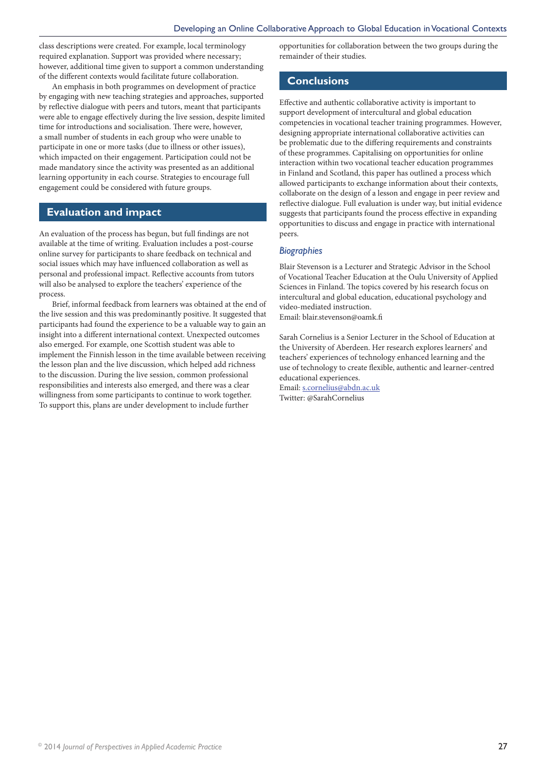class descriptions were created. For example, local terminology required explanation. Support was provided where necessary; however, additional time given to support a common understanding of the different contexts would facilitate future collaboration.

An emphasis in both programmes on development of practice by engaging with new teaching strategies and approaches, supported by reflective dialogue with peers and tutors, meant that participants were able to engage effectively during the live session, despite limited time for introductions and socialisation. There were, however, a small number of students in each group who were unable to participate in one or more tasks (due to illness or other issues), which impacted on their engagement. Participation could not be made mandatory since the activity was presented as an additional learning opportunity in each course. Strategies to encourage full engagement could be considered with future groups.

#### **Evaluation and impact**

An evaluation of the process has begun, but full findings are not available at the time of writing. Evaluation includes a post-course online survey for participants to share feedback on technical and social issues which may have influenced collaboration as well as personal and professional impact. Reflective accounts from tutors will also be analysed to explore the teachers' experience of the process.

Brief, informal feedback from learners was obtained at the end of the live session and this was predominantly positive. It suggested that participants had found the experience to be a valuable way to gain an insight into a different international context. Unexpected outcomes also emerged. For example, one Scottish student was able to implement the Finnish lesson in the time available between receiving the lesson plan and the live discussion, which helped add richness to the discussion. During the live session, common professional responsibilities and interests also emerged, and there was a clear willingness from some participants to continue to work together. To support this, plans are under development to include further

opportunities for collaboration between the two groups during the remainder of their studies.

#### **Conclusions**

Effective and authentic collaborative activity is important to support development of intercultural and global education competencies in vocational teacher training programmes. However, designing appropriate international collaborative activities can be problematic due to the differing requirements and constraints of these programmes. Capitalising on opportunities for online interaction within two vocational teacher education programmes in Finland and Scotland, this paper has outlined a process which allowed participants to exchange information about their contexts, collaborate on the design of a lesson and engage in peer review and reflective dialogue. Full evaluation is under way, but initial evidence suggests that participants found the process effective in expanding opportunities to discuss and engage in practice with international peers.

#### *Biographies*

Blair Stevenson is a Lecturer and Strategic Advisor in the School of Vocational Teacher Education at the Oulu University of Applied Sciences in Finland. The topics covered by his research focus on intercultural and global education, educational psychology and video-mediated instruction. Email: blair.stevenson@oamk.fi

Sarah Cornelius is a Senior Lecturer in the School of Education at the University of Aberdeen. Her research explores learners' and teachers' experiences of technology enhanced learning and the use of technology to create flexible, authentic and learner-centred educational experiences.

Email: s.cornelius@abdn.ac.uk Twitter: @SarahCornelius